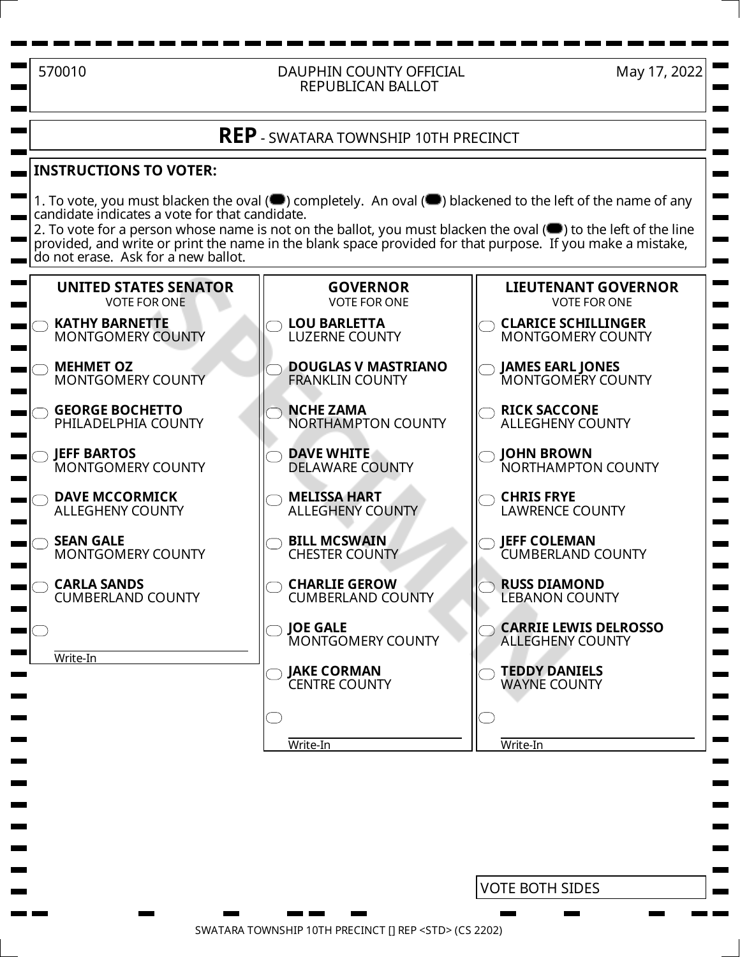## 570010 DAUPHIN COUNTY OFFICIAL REPUBLICAN BALLOT

May 17, 2022

## **REP** - SWATARA TOWNSHIP 10TH PRECINCT

## **INSTRUCTIONS TO VOTER:**

1. To vote, you must blacken the oval (O) completely. An oval (O) blackened to the left of the name of any candidate indicates a vote for that candidate.

2. To vote for a person whose name is not on the ballot, you must blacken the oval  $($ **)** to the left of the line provided, and write or print the name in the blank space provided for that purpose. If you make a mistake, do not erase. Ask for a new ballot.



VOTE BOTH SIDES